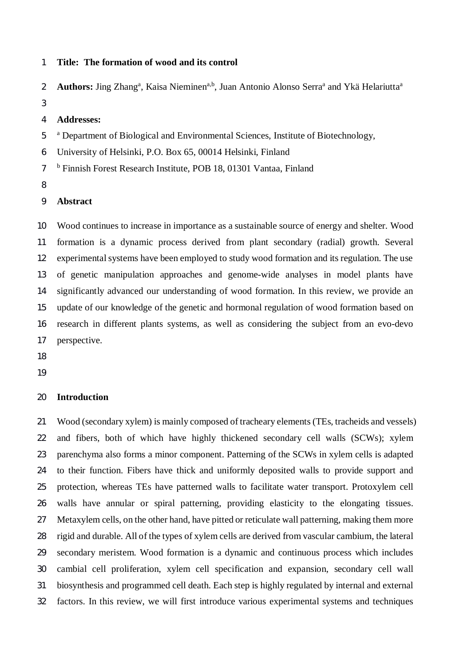#### **Title: The formation of wood and its control**

Authors: Jing Zhang<sup>a</sup>, Kaisa Nieminen<sup>a,b</sup>, Juan Antonio Alonso Serra<sup>a</sup> and Ykä Helariutta<sup>a</sup>  $\overline{2}$ 

#### **Addresses:**

<sup>5</sup> <sup>a</sup> Department of Biological and Environmental Sciences, Institute of Biotechnology,

University of Helsinki, P.O. Box 65, 00014 Helsinki, Finland

7 <sup>b</sup> Finnish Forest Research Institute, POB 18, 01301 Vantaa, Finland

## **Abstract**

 Wood continues to increase in importance as a sustainable source of energy and shelter. Wood formation is a dynamic process derived from plant secondary (radial) growth. Several experimental systems have been employed to study wood formation and its regulation. The use of genetic manipulation approaches and genome-wide analyses in model plants have significantly advanced our understanding of wood formation. In this review, we provide an update of our knowledge of the genetic and hormonal regulation of wood formation based on research in different plants systems, as well as considering the subject from an evo-devo perspective.

## **Introduction**

 Wood (secondary xylem) is mainly composed of tracheary elements (TEs, tracheids and vessels) and fibers, both of which have highly thickened secondary cell walls (SCWs); xylem parenchyma also forms a minor component. Patterning of the SCWs in xylem cells is adapted to their function. Fibers have thick and uniformly deposited walls to provide support and protection, whereas TEs have patterned walls to facilitate water transport. Protoxylem cell walls have annular or spiral patterning, providing elasticity to the elongating tissues. Metaxylem cells, on the other hand, have pitted or reticulate wall patterning, making them more rigid and durable. All of the types of xylem cells are derived from vascular cambium, the lateral secondary meristem. Wood formation is a dynamic and continuous process which includes cambial cell proliferation, xylem cell specification and expansion, secondary cell wall biosynthesis and programmed cell death. Each step is highly regulated by internal and external factors. In this review, we will first introduce various experimental systems and techniques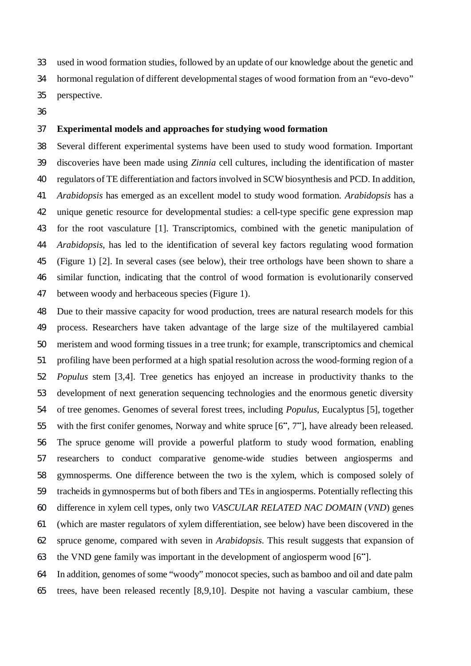used in wood formation studies, followed by an update of our knowledge about the genetic and hormonal regulation of different developmental stages of wood formation from an "evo-devo" perspective.

# **Experimental models and approaches for studying wood formation**

 Several different experimental systems have been used to study wood formation. Important discoveries have been made using *Zinnia* cell cultures, including the identification of master regulators of TE differentiation and factors involved in SCW biosynthesis and PCD. In addition, *Arabidopsis* has emerged as an excellent model to study wood formation. *Arabidopsis* has a unique genetic resource for developmental studies: a cell-type specific gene expression map for the root vasculature [1]. Transcriptomics, combined with the genetic manipulation of *Arabidopsis*, has led to the identification of several key factors regulating wood formation (Figure 1) [2]. In several cases (see below), their tree orthologs have been shown to share a similar function, indicating that the control of wood formation is evolutionarily conserved between woody and herbaceous species (Figure 1).

 Due to their massive capacity for wood production, trees are natural research models for this process. Researchers have taken advantage of the large size of the multilayered cambial meristem and wood forming tissues in a tree trunk; for example, transcriptomics and chemical profiling have been performed at a high spatial resolution across the wood-forming region of a *Populus* stem [3,4]. Tree genetics has enjoyed an increase in productivity thanks to the development of next generation sequencing technologies and the enormous genetic diversity of tree genomes. Genomes of several forest trees, including *Populus*, Eucalyptus [5], together 55 with the first conifer genomes, Norway and white spruce [6", 7"], have already been released. The spruce genome will provide a powerful platform to study wood formation, enabling researchers to conduct comparative genome-wide studies between angiosperms and gymnosperms. One difference between the two is the xylem, which is composed solely of tracheids in gymnosperms but of both fibers and TEs in angiosperms. Potentially reflecting this difference in xylem cell types, only two *VASCULAR RELATED NAC DOMAIN* (*VND*) genes (which are master regulators of xylem differentiation, see below) have been discovered in the spruce genome, compared with seven in *Arabidopsis*. This result suggests that expansion of 63 the VND gene family was important in the development of angiosperm wood  $[6^{\circ}]$ .

 In addition, genomes of some "woody" monocot species, such as bamboo and oil and date palm trees, have been released recently [8,9,10]. Despite not having a vascular cambium, these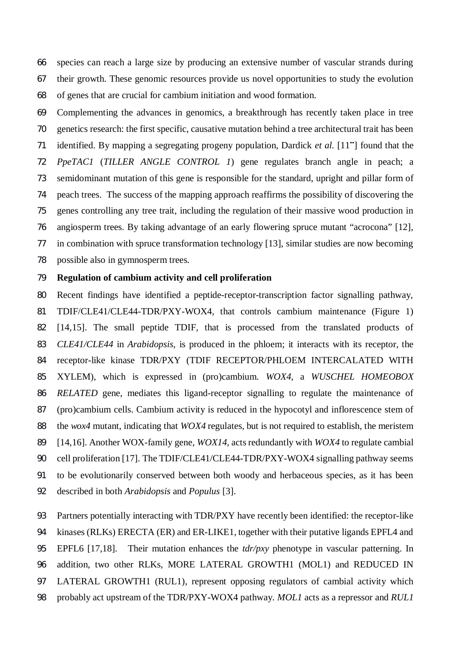species can reach a large size by producing an extensive number of vascular strands during their growth. These genomic resources provide us novel opportunities to study the evolution of genes that are crucial for cambium initiation and wood formation.

 Complementing the advances in genomics, a breakthrough has recently taken place in tree genetics research: the first specific, causative mutation behind a tree architectural trait has been 71 identified. By mapping a segregating progeny population, Dardick *et al.* [11<sup>\*</sup>] found that the *PpeTAC1* (*TILLER ANGLE CONTROL 1*) gene regulates branch angle in peach; a semidominant mutation of this gene is responsible for the standard, upright and pillar form of peach trees. The success of the mapping approach reaffirms the possibility of discovering the genes controlling any tree trait, including the regulation of their massive wood production in angiosperm trees. By taking advantage of an early flowering spruce mutant "acrocona" [12], in combination with spruce transformation technology [13], similar studies are now becoming possible also in gymnosperm trees.

# **Regulation of cambium activity and cell proliferation**

 Recent findings have identified a peptide-receptor-transcription factor signalling pathway, TDIF/CLE41/CLE44-TDR/PXY-WOX4, that controls cambium maintenance (Figure 1) [14,15]. The small peptide TDIF, that is processed from the translated products of *CLE41/CLE44* in *Arabidopsis*, is produced in the phloem; it interacts with its receptor, the receptor-like kinase TDR/PXY (TDIF RECEPTOR/PHLOEM INTERCALATED WITH XYLEM), which is expressed in (pro)cambium. *WOX4*, a *WUSCHEL HOMEOBOX RELATED* gene, mediates this ligand-receptor signalling to regulate the maintenance of (pro)cambium cells. Cambium activity is reduced in the hypocotyl and inflorescence stem of the *wox4* mutant, indicating that *WOX4* regulates, but is not required to establish, the meristem [14,16]. Another WOX-family gene, *WOX14*, acts redundantly with *WOX4* to regulate cambial 90 cell proliferation [17]. The TDIF/CLE41/CLE44-TDR/PXY-WOX4 signalling pathway seems to be evolutionarily conserved between both woody and herbaceous species, as it has been described in both *Arabidopsis* and *Populus* [3].

 Partners potentially interacting with TDR/PXY have recently been identified: the receptor-like kinases (RLKs) ERECTA (ER) and ER-LIKE1, together with their putative ligands EPFL4 and EPFL6 [17,18]. Their mutation enhances the *tdr/pxy* phenotype in vascular patterning. In addition, two other RLKs, MORE LATERAL GROWTH1 (MOL1) and REDUCED IN LATERAL GROWTH1 (RUL1)*,* represent opposing regulators of cambial activity which probably act upstream of the TDR/PXY-WOX4 pathway. *MOL1* acts as a repressor and *RUL1*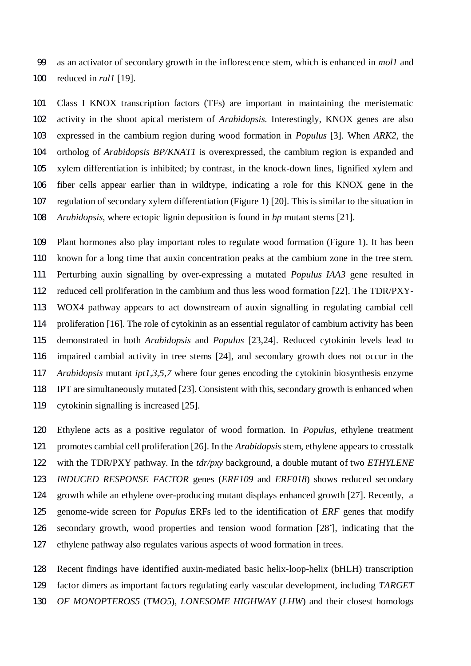as an activator of secondary growth in the inflorescence stem, which is enhanced in *mol1* and reduced in *rul1* [19].

 Class I KNOX transcription factors (TFs) are important in maintaining the meristematic activity in the shoot apical meristem of *Arabidopsis*. Interestingly, KNOX genes are also expressed in the cambium region during wood formation in *Populus* [3]. When *ARK2*, the ortholog of *Arabidopsis BP/KNAT1* is overexpressed, the cambium region is expanded and xylem differentiation is inhibited; by contrast, in the knock-down lines, lignified xylem and fiber cells appear earlier than in wildtype, indicating a role for this KNOX gene in the regulation of secondary xylem differentiation (Figure 1) [20]. This is similar to the situation in *Arabidopsis*, where ectopic lignin deposition is found in *bp* mutant stems [21].

 Plant hormones also play important roles to regulate wood formation (Figure 1). It has been known for a long time that auxin concentration peaks at the cambium zone in the tree stem. Perturbing auxin signalling by over-expressing a mutated *Populus IAA3* gene resulted in reduced cell proliferation in the cambium and thus less wood formation [22]. The TDR/PXY- WOX4 pathway appears to act downstream of auxin signalling in regulating cambial cell proliferation [16]. The role of cytokinin as an essential regulator of cambium activity has been demonstrated in both *Arabidopsis* and *Populus* [23,24]. Reduced cytokinin levels lead to impaired cambial activity in tree stems [24], and secondary growth does not occur in the *Arabidopsis* mutant *ipt1,3,5,7* where four genes encoding the cytokinin biosynthesis enzyme IPT are simultaneously mutated [23]. Consistent with this, secondary growth is enhanced when cytokinin signalling is increased [25].

 Ethylene acts as a positive regulator of wood formation. In *Populus*, ethylene treatment promotes cambial cell proliferation [26]. In the *Arabidopsis* stem, ethylene appears to crosstalk with the TDR/PXY pathway. In the *tdr/pxy* background, a double mutant of two *ETHYLENE INDUCED RESPONSE FACTOR* genes (*ERF109* and *ERF018*) shows reduced secondary growth while an ethylene over-producing mutant displays enhanced growth [27]. Recently, a genome-wide screen for *Populus* ERFs led to the identification of *ERF* genes that modify 126 secondary growth, wood properties and tension wood formation [28'], indicating that the ethylene pathway also regulates various aspects of wood formation in trees.

 Recent findings have identified auxin-mediated basic helix-loop-helix (bHLH) transcription factor dimers as important factors regulating early vascular development, including *TARGET OF MONOPTEROS5* (*TMO5*), *LONESOME HIGHWAY* (*LHW*) and their closest homologs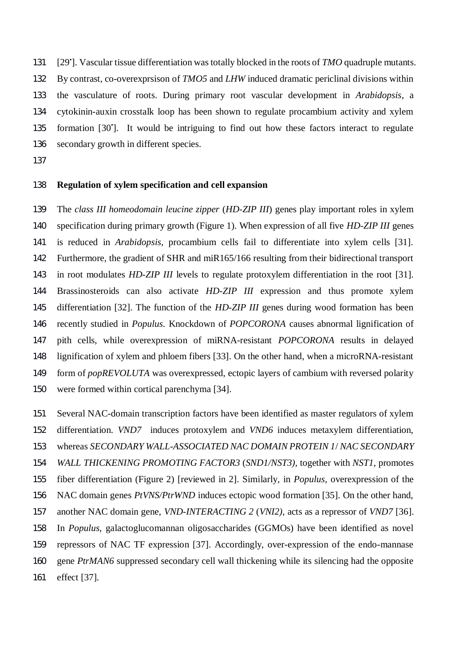131 [29<sup>\*</sup>]. Vascular tissue differentiation was totally blocked in the roots of *TMO* quadruple mutants. By contrast, co-overexprsison of *TMO5* and *LHW* induced dramatic periclinal divisions within the vasculature of roots. During primary root vascular development in *Arabidopsis*, a cytokinin-auxin crosstalk loop has been shown to regulate procambium activity and xylem 135 formation [30']. It would be intriguing to find out how these factors interact to regulate secondary growth in different species.

# **Regulation of xylem specification and cell expansion**

 The *class III homeodomain leucine zipper* (*HD-ZIP III*) genes play important roles in xylem specification during primary growth (Figure 1). When expression of all five *HD-ZIP III* genes is reduced in *Arabidopsis*, procambium cells fail to differentiate into xylem cells [31]. Furthermore, the gradient of SHR and miR165/166 resulting from their bidirectional transport in root modulates *HD-ZIP III* levels to regulate protoxylem differentiation in the root [31]. Brassinosteroids can also activate *HD-ZIP III* expression and thus promote xylem differentiation [32]. The function of the *HD-ZIP III* genes during wood formation has been recently studied in *Populus*. Knockdown of *POPCORONA* causes abnormal lignification of pith cells, while overexpression of miRNA-resistant *POPCORONA* results in delayed lignification of xylem and phloem fibers [33]. On the other hand, when a microRNA-resistant form of *popREVOLUTA* was overexpressed, ectopic layers of cambium with reversed polarity were formed within cortical parenchyma [34].

 Several NAC-domain transcription factors have been identified as master regulators of xylem differentiation. *VND7* induces protoxylem and *VND6* induces metaxylem differentiation, whereas *SECONDARY WALL-ASSOCIATED NAC DOMAIN PROTEIN 1*/ *NAC SECONDARY WALL THICKENING PROMOTING FACTOR3* (*SND1/NST3),* together with *NST1,* promotes fiber differentiation (Figure 2) [reviewed in 2]. Similarly, in *Populus*, overexpression of the NAC domain genes *PtVNS/PtrWND* induces ectopic wood formation [35]. On the other hand, another NAC domain gene, *VND-INTERACTING 2* (*VNI2)*, acts as a repressor of *VND7* [36]. In *Populus*, galactoglucomannan oligosaccharides (GGMOs) have been identified as novel repressors of NAC TF expression [37]. Accordingly, over-expression of the endo-mannase gene *PtrMAN6* suppressed secondary cell wall thickening while its silencing had the opposite effect [37].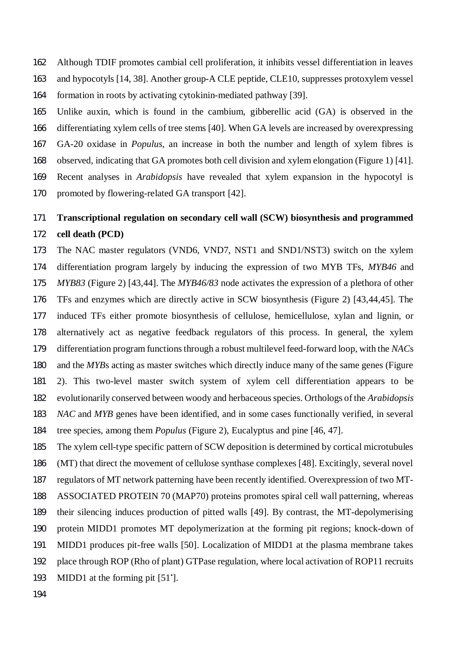Although TDIF promotes cambial cell proliferation, it inhibits vessel differentiation in leaves and hypocotyls [14, 38]. Another group-A CLE peptide, CLE10, suppresses protoxylem vessel formation in roots by activating cytokinin-mediated pathway [39].

 Unlike auxin, which is found in the cambium, gibberellic acid (GA) is observed in the differentiating xylem cells of tree stems [40]. When GA levels are increased by overexpressing GA-20 oxidase in *Populus*, an increase in both the number and length of xylem fibres is observed, indicating that GA promotes both cell division and xylem elongation (Figure 1) [41]. Recent analyses in *Arabidopsis* have revealed that xylem expansion in the hypocotyl is

promoted by flowering-related GA transport [42].

# **Transcriptional regulation on secondary cell wall (SCW) biosynthesis and programmed cell death (PCD)**

 The NAC master regulators (VND6, VND7, NST1 and SND1/NST3) switch on the xylem differentiation program largely by inducing the expression of two MYB TFs, *MYB46* and *MYB83* (Figure 2) [43,44]. The *MYB46/83* node activates the expression of a plethora of other TFs and enzymes which are directly active in SCW biosynthesis (Figure 2) [43,44,45]. The induced TFs either promote biosynthesis of cellulose, hemicellulose, xylan and lignin, or alternatively act as negative feedback regulators of this process. In general, the xylem differentiation program functions through a robust multilevel feed-forward loop, with the *NAC*s and the *MYB*s acting as master switches which directly induce many of the same genes (Figure 2). This two-level master switch system of xylem cell differentiation appears to be evolutionarily conserved between woody and herbaceous species. Orthologs of the *Arabidopsis NAC* and *MYB* genes have been identified, and in some cases functionally verified, in several tree species, among them *Populus* (Figure 2), Eucalyptus and pine [46, 47].

 The xylem cell-type specific pattern of SCW deposition is determined by cortical microtubules (MT) that direct the movement of cellulose synthase complexes [48]. Excitingly, several novel regulators of MT network patterning have been recently identified. Overexpression of two MT- ASSOCIATED PROTEIN 70 (MAP70) proteins promotes spiral cell wall patterning, whereas their silencing induces production of pitted walls [49]. By contrast, the MT-depolymerising protein MIDD1 promotes MT depolymerization at the forming pit regions; knock-down of MIDD1 produces pit-free walls [50]. Localization of MIDD1 at the plasma membrane takes place through ROP (Rho of plant) GTPase regulation, where local activation of ROP11 recruits 193 MIDD1 at the forming pit [51'].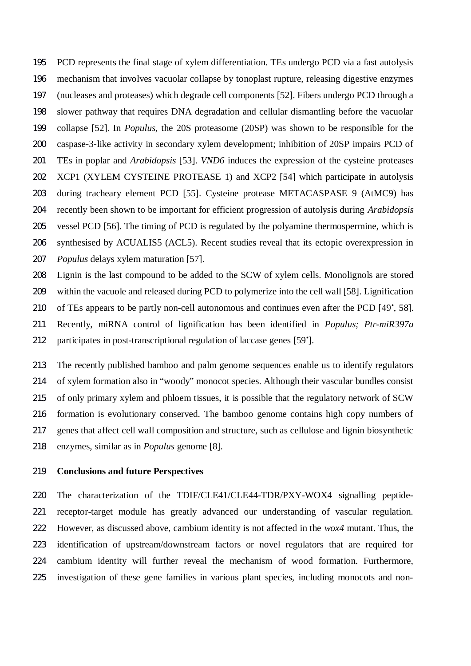PCD represents the final stage of xylem differentiation. TEs undergo PCD via a fast autolysis mechanism that involves vacuolar collapse by tonoplast rupture, releasing digestive enzymes (nucleases and proteases) which degrade cell components [52]. Fibers undergo PCD through a slower pathway that requires DNA degradation and cellular dismantling before the vacuolar collapse [52]. In *Populus,* the 20S proteasome (20SP) was shown to be responsible for the caspase-3-like activity in secondary xylem development; inhibition of 20SP impairs PCD of TEs in poplar and *Arabidopsis* [53]. *VND6* induces the expression of the cysteine proteases XCP1 (XYLEM CYSTEINE PROTEASE 1) and XCP2 [54] which participate in autolysis during tracheary element PCD [55]. Cysteine protease METACASPASE 9 (AtMC9) has recently been shown to be important for efficient progression of autolysis during *Arabidopsis* vessel PCD [56]. The timing of PCD is regulated by the polyamine thermospermine, which is synthesised by ACUALIS5 (ACL5). Recent studies reveal that its ectopic overexpression in *Populus* delays xylem maturation [57].

 Lignin is the last compound to be added to the SCW of xylem cells. Monolignols are stored within the vacuole and released during PCD to polymerize into the cell wall [58]. Lignification 210 of TEs appears to be partly non-cell autonomous and continues even after the PCD [49<sup>\*</sup>, 58]. Recently, miRNA control of lignification has been identified in *Populus; Ptr-miR397a* 212 participates in post-transcriptional regulation of laccase genes [59<sup>\*</sup>].

 The recently published bamboo and palm genome sequences enable us to identify regulators of xylem formation also in "woody" monocot species. Although their vascular bundles consist of only primary xylem and phloem tissues, it is possible that the regulatory network of SCW formation is evolutionary conserved. The bamboo genome contains high copy numbers of genes that affect cell wall composition and structure, such as cellulose and lignin biosynthetic enzymes, similar as in *Populus* genome [8].

## **Conclusions and future Perspectives**

 The characterization of the TDIF/CLE41/CLE44-TDR/PXY-WOX4 signalling peptide- receptor-target module has greatly advanced our understanding of vascular regulation. However, as discussed above, cambium identity is not affected in the *wox4* mutant. Thus, the identification of upstream/downstream factors or novel regulators that are required for cambium identity will further reveal the mechanism of wood formation. Furthermore, investigation of these gene families in various plant species, including monocots and non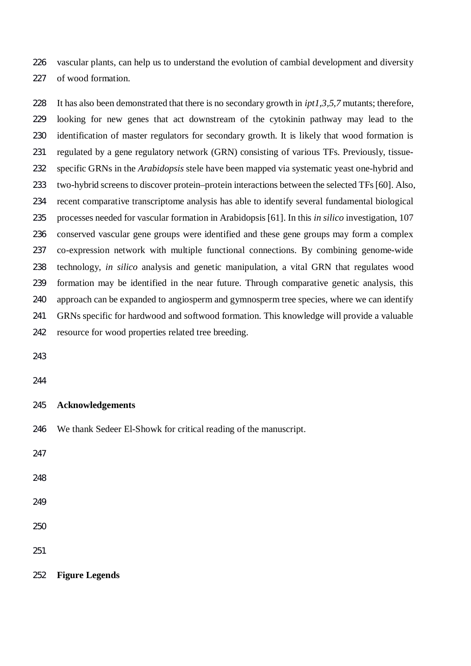vascular plants, can help us to understand the evolution of cambial development and diversity of wood formation.

 It has also been demonstrated that there is no secondary growth in *ipt1,3,5,7* mutants; therefore, looking for new genes that act downstream of the cytokinin pathway may lead to the identification of master regulators for secondary growth. It is likely that wood formation is regulated by a gene regulatory network (GRN) consisting of various TFs. Previously, tissue- specific GRNs in the *Arabidopsis* stele have been mapped via systematic yeast one-hybrid and two-hybrid screens to discover protein–protein interactions between the selected TFs [60]. Also, recent comparative transcriptome analysis has able to identify several fundamental biological processes needed for vascular formation in Arabidopsis [61]. In this *in silico* investigation, 107 conserved vascular gene groups were identified and these gene groups may form a complex co-expression network with multiple functional connections. By combining genome-wide technology, *in silico* analysis and genetic manipulation, a vital GRN that regulates wood formation may be identified in the near future. Through comparative genetic analysis, this approach can be expanded to angiosperm and gymnosperm tree species, where we can identify GRNs specific for hardwood and softwood formation. This knowledge will provide a valuable resource for wood properties related tree breeding.

## **Acknowledgements**

We thank Sedeer El-Showk for critical reading of the manuscript.

**Figure Legends**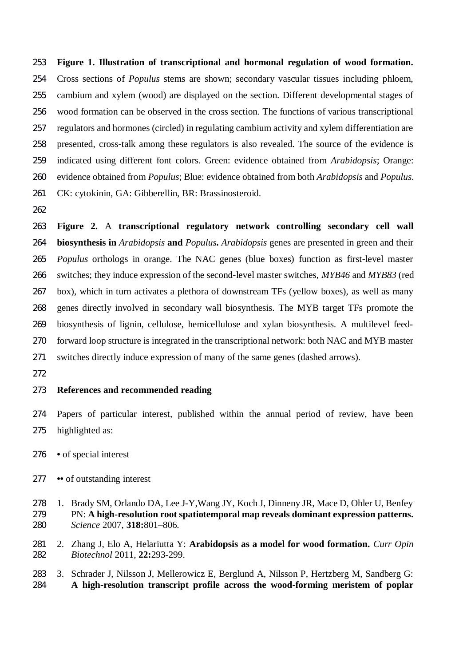**Figure 1. Illustration of transcriptional and hormonal regulation of wood formation.** Cross sections of *Populus* stems are shown; secondary vascular tissues including phloem, cambium and xylem (wood) are displayed on the section. Different developmental stages of wood formation can be observed in the cross section. The functions of various transcriptional regulators and hormones (circled) in regulating cambium activity and xylem differentiation are presented, cross-talk among these regulators is also revealed. The source of the evidence is indicated using different font colors. Green: evidence obtained from *Arabidopsis*; Orange: evidence obtained from *Populus*; Blue: evidence obtained from both *Arabidopsis* and *Populus*. CK: cytokinin, GA: Gibberellin, BR: Brassinosteroid.

 **Figure 2.** A **transcriptional regulatory network controlling secondary cell wall biosynthesis in** *Arabidopsis* **and** *Populus***.** *Arabidopsis* genes are presented in green and their *Populus* orthologs in orange. The NAC genes (blue boxes) function as first-level master switches; they induce expression of the second-level master switches, *MYB46* and *MYB83* (red box), which in turn activates a plethora of downstream TFs (yellow boxes), as well as many genes directly involved in secondary wall biosynthesis. The MYB target TFs promote the biosynthesis of lignin, cellulose, hemicellulose and xylan biosynthesis. A multilevel feed- forward loop structure is integrated in the transcriptional network: both NAC and MYB master switches directly induce expression of many of the same genes (dashed arrows).

# **References and recommended reading**

 Papers of particular interest, published within the annual period of review, have been highlighted as:

- **•** of special interest
- **••** of outstanding interest
- 1. Brady SM, Orlando DA, Lee J-Y,Wang JY, Koch J, Dinneny JR, Mace D, Ohler U, Benfey PN: **A high-resolution root spatiotemporal map reveals dominant expression patterns.** *Science* 2007, **318:**801–806.
- 2. Zhang J, Elo A, Helariutta Y: **Arabidopsis as a model for wood formation.** *Curr Opin Biotechnol* 2011, **22:**293-299.
- 3. Schrader J, Nilsson J, Mellerowicz E, Berglund A, Nilsson P, Hertzberg M, Sandberg G: **A high-resolution transcript profile across the wood-forming meristem of poplar**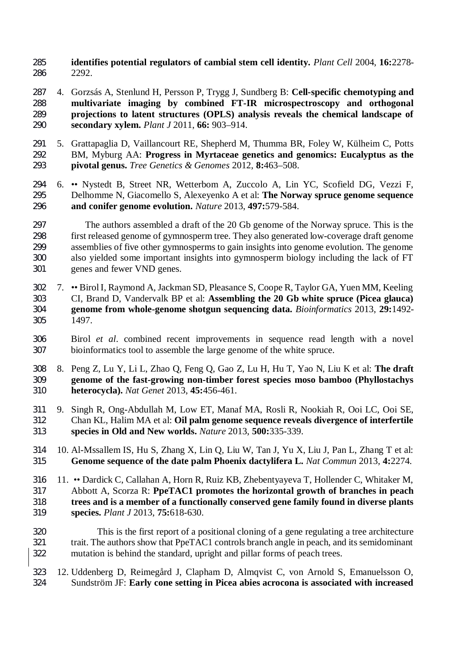- **identifies potential regulators of cambial stem cell identity.** *Plant Cell* 2004, **16:**2278- 2292.
- 4. Gorzsás A, Stenlund H, Persson P, Trygg J, Sundberg B: **Cell-specific chemotyping and multivariate imaging by combined FT-IR microspectroscopy and orthogonal projections to latent structures (OPLS) analysis reveals the chemical landscape of secondary xylem.** *Plant J* 2011, **66:** 903–914.
- 5. Grattapaglia D, Vaillancourt RE, Shepherd M, Thumma BR, Foley W, Külheim C, Potts BM, Myburg AA: **Progress in Myrtaceae genetics and genomics: Eucalyptus as the pivotal genus.** *Tree Genetics & Genomes* 2012, **8:**463–508.
- 6. •• Nystedt B, Street NR, Wetterbom A, Zuccolo A, Lin YC, Scofield DG, Vezzi F, Delhomme N, Giacomello S, Alexeyenko A et al: **The Norway spruce genome sequence and conifer genome evolution.** *Nature* 2013, **497:**579-584.
- The authors assembled a draft of the 20 Gb genome of the Norway spruce. This is the first released genome of gymnosperm tree. They also generated low-coverage draft genome assemblies of five other gymnosperms to gain insights into genome evolution. The genome also yielded some important insights into gymnosperm biology including the lack of FT genes and fewer VND genes.
- 7. •• Birol I, Raymond A, Jackman SD, Pleasance S, Coope R, Taylor GA, Yuen MM, Keeling CI, Brand D, Vandervalk BP et al: **Assembling the 20 Gb white spruce (Picea glauca) genome from whole-genome shotgun sequencing data.** *Bioinformatics* 2013, **29:**1492- 1497.
- Birol *et al*. combined recent improvements in sequence read length with a novel bioinformatics tool to assemble the large genome of the white spruce.
- 8. Peng Z, Lu Y, Li L, Zhao Q, Feng Q, Gao Z, Lu H, Hu T, Yao N, Liu K et al: **The draft genome of the fast-growing non-timber forest species moso bamboo (Phyllostachys heterocycla).** *Nat Genet* 2013, **45:**456-461.
- 9. Singh R, Ong-Abdullah M, Low ET, Manaf MA, Rosli R, Nookiah R, Ooi LC, Ooi SE, Chan KL, Halim MA et al: **Oil palm genome sequence reveals divergence of interfertile species in Old and New worlds.** *Nature* 2013, **500:**335-339.
- 10. Al-Mssallem IS, Hu S, Zhang X, Lin Q, Liu W, Tan J, Yu X, Liu J, Pan L, Zhang T et al: **Genome sequence of the date palm Phoenix dactylifera L.** *Nat Commun* 2013, **4:**2274.
- 11. •• Dardick C, Callahan A, Horn R, Ruiz KB, Zhebentyayeva T, Hollender C, Whitaker M, Abbott A, Scorza R: **PpeTAC1 promotes the horizontal growth of branches in peach trees and is a member of a functionally conserved gene family found in diverse plants species.** *Plant J* 2013, **75:**618-630.
- This is the first report of a positional cloning of a gene regulating a tree architecture trait. The authors show that PpeTAC1 controls branch angle in peach, and its semidominant mutation is behind the standard, upright and pillar forms of peach trees.
- 12. Uddenberg D, Reimegård J, Clapham D, Almqvist C, von Arnold S, Emanuelsson O, Sundström JF: **Early cone setting in Picea abies acrocona is associated with increased**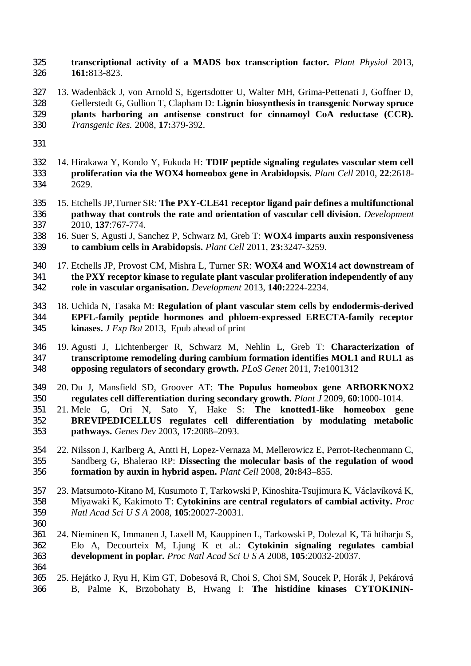**transcriptional activity of a MADS box transcription factor.** *Plant Physiol* 2013, **161:**813-823.

- 13. Wadenbäck J, von Arnold S, Egertsdotter U, Walter MH, Grima-Pettenati J, Goffner D, Gellerstedt G, Gullion T, Clapham D: **Lignin biosynthesis in transgenic Norway spruce plants harboring an antisense construct for cinnamoyl CoA reductase (CCR).** *Transgenic Res.* 2008, **17:**379-392.
- 
- 14. Hirakawa Y, Kondo Y, Fukuda H: **TDIF peptide signaling regulates vascular stem cell proliferation via the WOX4 homeobox gene in Arabidopsis.** *Plant Cell* 2010, **22**:2618- 2629.
- 15. Etchells JP,Turner SR: **The PXY-CLE41 receptor ligand pair defines a multifunctional pathway that controls the rate and orientation of vascular cell division.** *Development* 2010, **137**:767-774.
- 16. Suer S, Agusti J, Sanchez P, Schwarz M, Greb T: **WOX4 imparts auxin responsiveness to cambium cells in Arabidopsis.** *Plant Cell* 2011, **23:**3247-3259.
- 17. Etchells JP, Provost CM, Mishra L, Turner SR: **WOX4 and WOX14 act downstream of the PXY receptor kinase to regulate plant vascular proliferation independently of any role in vascular organisation.** *Development* 2013, **140:**2224-2234.
- 18. Uchida N, Tasaka M: **Regulation of plant vascular stem cells by endodermis-derived EPFL-family peptide hormones and phloem-expressed ERECTA-family receptor kinases.** *J Exp Bot* 2013, Epub ahead of print
- 19. Agusti J, Lichtenberger R, Schwarz M, Nehlin L, Greb T: **Characterization of transcriptome remodeling during cambium formation identifies MOL1 and RUL1 as opposing regulators of secondary growth.** *PLoS Genet* 2011, **7:**e1001312
- 20. Du J, Mansfield SD, Groover AT: **The Populus homeobox gene ARBORKNOX2 regulates cell differentiation during secondary growth.** *Plant J* 2009, **60**:1000-1014.
- 21. Mele G, Ori N, Sato Y, Hake S: **The knotted1-like homeobox gene BREVIPEDICELLUS regulates cell differentiation by modulating metabolic pathways.** *Genes Dev* 2003, **17**:2088–2093.
- 22. Nilsson J, Karlberg A, Antti H, Lopez-Vernaza M, Mellerowicz E, Perrot-Rechenmann C, Sandberg G, Bhalerao RP: **Dissecting the molecular basis of the regulation of wood formation by auxin in hybrid aspen.** *Plant Cell* 2008, **20:**843–855.
- 23. Matsumoto-Kitano M, Kusumoto T, Tarkowski P, Kinoshita-Tsujimura K, Václavíková K, Miyawaki K, Kakimoto T: **Cytokinins are central regulators of cambial activity.** *Proc Natl Acad Sci U S A* 2008, **105**:20027-20031.
- 
- 24. Nieminen K, Immanen J, Laxell M, Kauppinen L, Tarkowski P, Dolezal K, Tä htiharju S, Elo A, Decourteix M, Ljung K et al.: **Cytokinin signaling regulates cambial development in poplar.** *Proc Natl Acad Sci U S A* 2008, **105**:20032-20037.
- 25. Hejátko J, Ryu H, Kim GT, Dobesová R, Choi S, Choi SM, Soucek P, Horák J, Pekárová B, Palme K, Brzobohaty B, Hwang I: **The histidine kinases CYTOKININ-**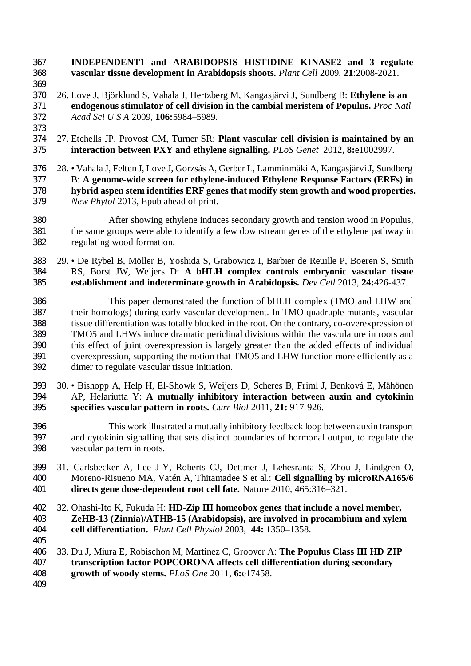**INDEPENDENT1 and ARABIDOPSIS HISTIDINE KINASE2 and 3 regulate vascular tissue development in Arabidopsis shoots.** *Plant Cell* 2009, **21**:2008-2021.

- 
- 26. Love J, Björklund S, Vahala J, Hertzberg M, Kangasjärvi J, Sundberg B: **Ethylene is an endogenous stimulator of cell division in the cambial meristem of Populus.** *Proc Natl Acad Sci U S A* 2009, **106:**5984–5989.
- 
- 27. Etchells JP, Provost CM, Turner SR: **Plant vascular cell division is maintained by an interaction between PXY and ethylene signalling.** *PLoS Genet* 2012, **8:**e1002997.
- 28. Vahala J, Felten J, Love J, Gorzsás A, Gerber L, Lamminmäki A, Kangasjärvi J, Sundberg B: **A genome-wide screen for ethylene-induced Ethylene Response Factors (ERFs) in hybrid aspen stem identifies ERF genes that modify stem growth and wood properties.** *New Phytol* 2013, Epub ahead of print.
- After showing ethylene induces secondary growth and tension wood in Populus, the same groups were able to identify a few downstream genes of the ethylene pathway in regulating wood formation.
- 29. De Rybel B, Möller B, Yoshida S, Grabowicz I, Barbier de Reuille P, Boeren S, Smith RS, Borst JW, Weijers D: **A bHLH complex controls embryonic vascular tissue establishment and indeterminate growth in Arabidopsis.** *Dev Cell* 2013, **24:**426-437.
- This paper demonstrated the function of bHLH complex (TMO and LHW and their homologs) during early vascular development. In TMO quadruple mutants, vascular tissue differentiation was totally blocked in the root. On the contrary, co-overexpression of TMO5 and LHWs induce dramatic periclinal divisions within the vasculature in roots and this effect of joint overexpression is largely greater than the added effects of individual overexpression, supporting the notion that TMO5 and LHW function more efficiently as a dimer to regulate vascular tissue initiation.
- 30. Bishopp A, Help H, El-Showk S, Weijers D, Scheres B, Friml J, Benková E, Mähönen AP, Helariutta Y: **A mutually inhibitory interaction between auxin and cytokinin specifies vascular pattern in roots.** *Curr Biol* 2011, **21:** 917-926.
- This work illustrated a mutually inhibitory feedback loop between auxin transport and cytokinin signalling that sets distinct boundaries of hormonal output, to regulate the vascular pattern in roots.
- 31. Carlsbecker A, Lee J-Y, Roberts CJ, Dettmer J, Lehesranta S, Zhou J, Lindgren O, Moreno-Risueno MA, Vatén A, Thitamadee S et al.: **Cell signalling by microRNA165/6 directs gene dose-dependent root cell fate.** Nature 2010, 465:316–321.
- 32. Ohashi-Ito K, Fukuda H: **HD-Zip III homeobox genes that include a novel member, ZeHB-13 (Zinnia)/ATHB-15 (Arabidopsis), are involved in procambium and xylem cell differentiation.** *Plant Cell Physiol* 2003, **44:** 1350–1358.
- 
- 33. Du J, Miura E, Robischon M, Martinez C, Groover A: **The Populus Class III HD ZIP transcription factor POPCORONA affects cell differentiation during secondary growth of woody stems.** *PLoS One* 2011, **6:**e17458.
-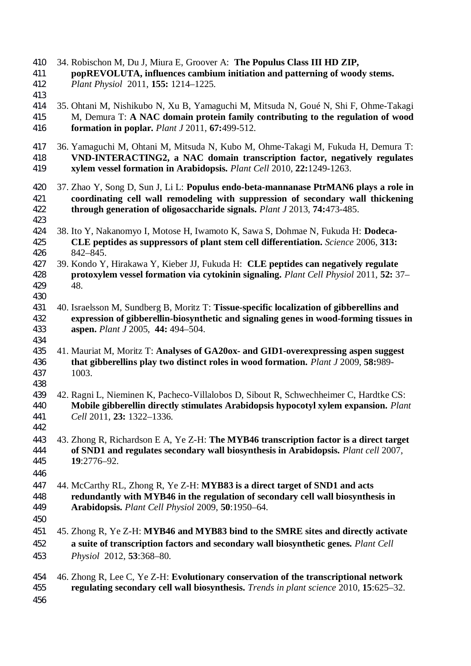| 410<br>411<br>412<br>413 | 34. Robischon M, Du J, Miura E, Groover A: The Populus Class III HD ZIP,<br>popREVOLUTA, influences cambium initiation and patterning of woody stems.<br>Plant Physiol 2011, 155: 1214-1225.                                                        |
|--------------------------|-----------------------------------------------------------------------------------------------------------------------------------------------------------------------------------------------------------------------------------------------------|
| 414<br>415<br>416        | 35. Ohtani M, Nishikubo N, Xu B, Yamaguchi M, Mitsuda N, Goué N, Shi F, Ohme-Takagi<br>M, Demura T: A NAC domain protein family contributing to the regulation of wood<br>formation in poplar. Plant J 2011, 67:499-512.                            |
| 417<br>418<br>419        | 36. Yamaguchi M, Ohtani M, Mitsuda N, Kubo M, Ohme-Takagi M, Fukuda H, Demura T:<br>VND-INTERACTING2, a NAC domain transcription factor, negatively regulates<br>xylem vessel formation in Arabidopsis. Plant Cell 2010, 22:1249-1263.              |
| 420<br>421<br>422        | 37. Zhao Y, Song D, Sun J, Li L: Populus endo-beta-mannanase PtrMAN6 plays a role in<br>coordinating cell wall remodeling with suppression of secondary wall thickening<br>through generation of oligosaccharide signals. Plant J 2013, 74:473-485. |
| 423<br>424<br>425<br>426 | 38. Ito Y, Nakanomyo I, Motose H, Iwamoto K, Sawa S, Dohmae N, Fukuda H: Dodeca-<br>CLE peptides as suppressors of plant stem cell differentiation. Science 2006, 313:<br>842-845.                                                                  |
| 427<br>428<br>429<br>430 | 39. Kondo Y, Hirakawa Y, Kieber JJ, Fukuda H: CLE peptides can negatively regulate<br>protoxylem vessel formation via cytokinin signaling. Plant Cell Physiol 2011, 52: 37-<br>48.                                                                  |
| 431<br>432<br>433<br>434 | 40. Israelsson M, Sundberg B, Moritz T: Tissue-specific localization of gibberellins and<br>expression of gibberellin-biosynthetic and signaling genes in wood-forming tissues in<br>aspen. Plant J 2005, 44: 494-504.                              |
| 435<br>436<br>437<br>438 | 41. Mauriat M, Moritz T: Analyses of GA20ox- and GID1-overexpressing aspen suggest<br>that gibberellins play two distinct roles in wood formation. Plant J 2009, 58:989-<br>1003.                                                                   |
| 439<br>440<br>441<br>442 | 42. Ragni L, Nieminen K, Pacheco-Villalobos D, Sibout R, Schwechheimer C, Hardtke CS:<br>Mobile gibberellin directly stimulates Arabidopsis hypocotyl xylem expansion. Plant<br>Cell 2011, 23: 1322-1336.                                           |
| 443<br>444<br>445<br>446 | 43. Zhong R, Richardson E A, Ye Z-H: The MYB46 transcription factor is a direct target<br>of SND1 and regulates secondary wall biosynthesis in Arabidopsis. Plant cell 2007,<br>19:2776-92.                                                         |
| 447<br>448<br>449<br>450 | 44. McCarthy RL, Zhong R, Ye Z-H: MYB83 is a direct target of SND1 and acts<br>redundantly with MYB46 in the regulation of secondary cell wall biosynthesis in<br>Arabidopsis. Plant Cell Physiol 2009, 50:1950-64.                                 |
| 451<br>452<br>453        | 45. Zhong R, Ye Z-H: MYB46 and MYB83 bind to the SMRE sites and directly activate<br>a suite of transcription factors and secondary wall biosynthetic genes. Plant Cell<br>Physiol 2012, 53:368-80.                                                 |
| 454<br>455<br>456        | 46. Zhong R, Lee C, Ye Z-H: Evolutionary conservation of the transcriptional network<br>regulating secondary cell wall biosynthesis. Trends in plant science 2010, 15:625-32.                                                                       |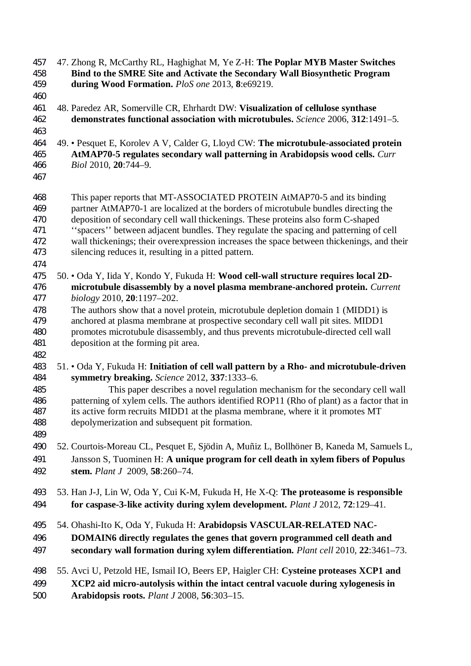47. Zhong R, McCarthy RL, Haghighat M, Ye Z-H: **The Poplar MYB Master Switches Bind to the SMRE Site and Activate the Secondary Wall Biosynthetic Program during Wood Formation.** *PloS one* 2013, **8**:e69219. 48. Paredez AR, Somerville CR, Ehrhardt DW: **Visualization of cellulose synthase demonstrates functional association with microtubules.** *Science* 2006, **312**:1491–5. 49. • Pesquet E, Korolev A V, Calder G, Lloyd CW: **The microtubule-associated protein AtMAP70-5 regulates secondary wall patterning in Arabidopsis wood cells.** *Curr Biol* 2010, **20**:744–9. This paper reports that MT-ASSOCIATED PROTEIN AtMAP70-5 and its binding partner AtMAP70-1 are localized at the borders of microtubule bundles directing the deposition of secondary cell wall thickenings. These proteins also form C-shaped ''spacers'' between adjacent bundles. They regulate the spacing and patterning of cell wall thickenings; their overexpression increases the space between thickenings, and their silencing reduces it, resulting in a pitted pattern. 50. • Oda Y, Iida Y, Kondo Y, Fukuda H: **Wood cell-wall structure requires local 2D- microtubule disassembly by a novel plasma membrane-anchored protein.** *Current biology* 2010, **20**:1197–202. The authors show that a novel protein, microtubule depletion domain 1 (MIDD1) is anchored at plasma membrane at prospective secondary cell wall pit sites. MIDD1 promotes microtubule disassembly, and thus prevents microtubule-directed cell wall deposition at the forming pit area. 51. • Oda Y, Fukuda H: **Initiation of cell wall pattern by a Rho- and microtubule-driven symmetry breaking.** *Science* 2012, **337**:1333–6. This paper describes a novel regulation mechanism for the secondary cell wall patterning of xylem cells. The authors identified ROP11 (Rho of plant) as a factor that in its active form recruits MIDD1 at the plasma membrane, where it it promotes MT depolymerization and subsequent pit formation. 52. Courtois-Moreau CL, Pesquet E, Sjödin A, Muñiz L, Bollhöner B, Kaneda M, Samuels L, Jansson S, Tuominen H: **A unique program for cell death in xylem fibers of Populus stem.** *Plant J* 2009, **58**:260–74. 53. Han J-J, Lin W, Oda Y, Cui K-M, Fukuda H, He X-Q: **The proteasome is responsible for caspase-3-like activity during xylem development.** *Plant J* 2012, **72**:129–41. 54. Ohashi-Ito K, Oda Y, Fukuda H: **Arabidopsis VASCULAR-RELATED NAC- DOMAIN6 directly regulates the genes that govern programmed cell death and secondary wall formation during xylem differentiation.** *Plant cell* 2010, **22**:3461–73. 55. Avci U, Petzold HE, Ismail IO, Beers EP, Haigler CH: **Cysteine proteases XCP1 and XCP2 aid micro-autolysis within the intact central vacuole during xylogenesis in Arabidopsis roots.** *Plant J* 2008, **56**:303–15.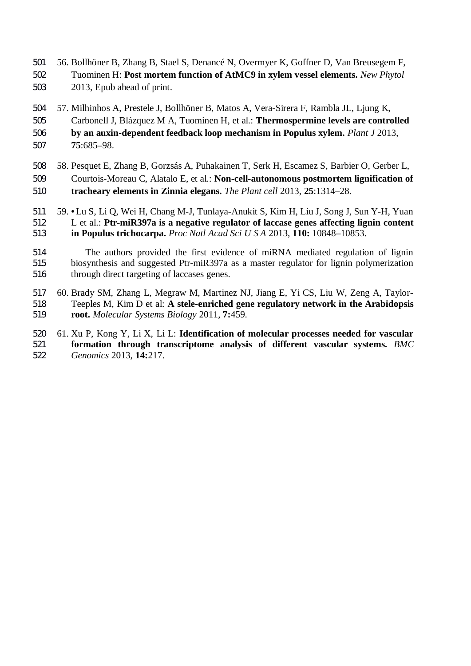- 56. Bollhöner B, Zhang B, Stael S, Denancé N, Overmyer K, Goffner D, Van Breusegem F, Tuominen H: **Post mortem function of AtMC9 in xylem vessel elements.** *New Phytol* 2013, Epub ahead of print.
- 57. Milhinhos A, Prestele J, Bollhöner B, Matos A, Vera-Sirera F, Rambla JL, Ljung K, Carbonell J, Blázquez M A, Tuominen H, et al.: **Thermospermine levels are controlled by an auxin-dependent feedback loop mechanism in Populus xylem.** *Plant J* 2013, **75**:685–98.
- 58. Pesquet E, Zhang B, Gorzsás A, Puhakainen T, Serk H, Escamez S, Barbier O, Gerber L, Courtois-Moreau C, Alatalo E, et al.: **Non-cell-autonomous postmortem lignification of tracheary elements in Zinnia elegans.** *The Plant cell* 2013, **25**:1314–28.
- 59. **•**Lu S, Li Q, Wei H, Chang M-J, Tunlaya-Anukit S, Kim H, Liu J, Song J, Sun Y-H, Yuan L et al.: **Ptr-miR397a is a negative regulator of laccase genes affecting lignin content in Populus trichocarpa.** *Proc Natl Acad Sci U S A* 2013, **110:** 10848–10853.
- The authors provided the first evidence of miRNA mediated regulation of lignin biosynthesis and suggested Ptr-miR397a as a master regulator for lignin polymerization through direct targeting of laccases genes.
- 60. Brady SM, Zhang L, Megraw M, Martinez NJ, Jiang E, Yi CS, Liu W, Zeng A, Taylor- Teeples M, Kim D et al: **A stele-enriched gene regulatory network in the Arabidopsis root.** *Molecular Systems Biology* 2011, **7:**459.
- 61. Xu P, Kong Y, Li X, Li L: **Identification of molecular processes needed for vascular formation through transcriptome analysis of different vascular systems.** *BMC Genomics* 2013, **14:**217.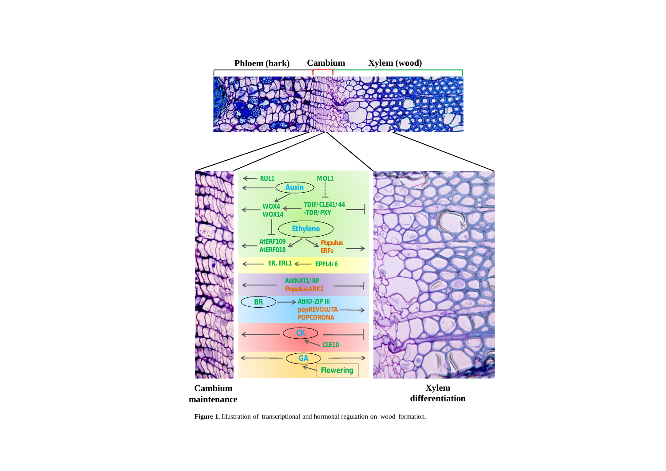

Figure 1. Illustration of transcriptional and hormonal regulation on wood formation.